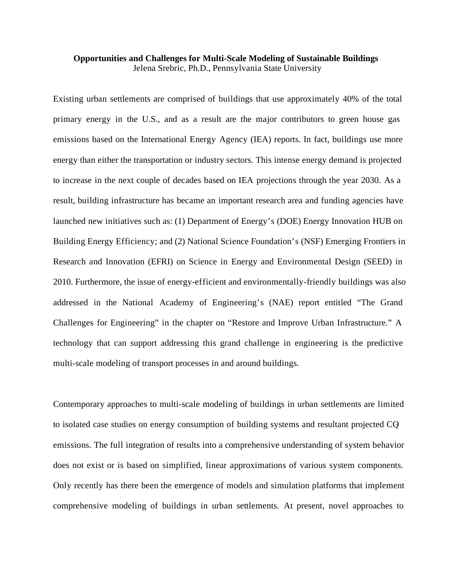## **Opportunities and Challenges for Multi-Scale Modeling of Sustainable Buildings**  Jelena Srebric, Ph.D., Pennsylvania State University

Existing urban settlements are comprised of buildings that use approximately 40% of the total primary energy in the U.S., and as a result are the major contributors to green house gas emissions based on the International Energy Agency (IEA) reports. In fact, buildings use more energy than either the transportation or industry sectors. This intense energy demand is projected to increase in the next couple of decades based on IEA projections through the year 2030. As a result, building infrastructure has became an important research area and funding agencies have launched new initiatives such as: (1) Department of Energy's (DOE) Energy Innovation HUB on Building Energy Efficiency; and (2) National Science Foundation's (NSF) Emerging Frontiers in Research and Innovation (EFRI) on Science in Energy and Environmental Design (SEED) in 2010. Furthermore, the issue of energy-efficient and environmentally-friendly buildings was also addressed in the National Academy of Engineering's (NAE) report entitled "The Grand Challenges for Engineering" in the chapter on "Restore and Improve Urban Infrastructure." A technology that can support addressing this grand challenge in engineering is the predictive multi-scale modeling of transport processes in and around buildings.

Contemporary approaches to multi-scale modeling of buildings in urban settlements are limited to isolated case studies on energy consumption of building systems and resultant projected CQ emissions. The full integration of results into a comprehensive understanding of system behavior does not exist or is based on simplified, linear approximations of various system components. Only recently has there been the emergence of models and simulation platforms that implement comprehensive modeling of buildings in urban settlements. At present, novel approaches to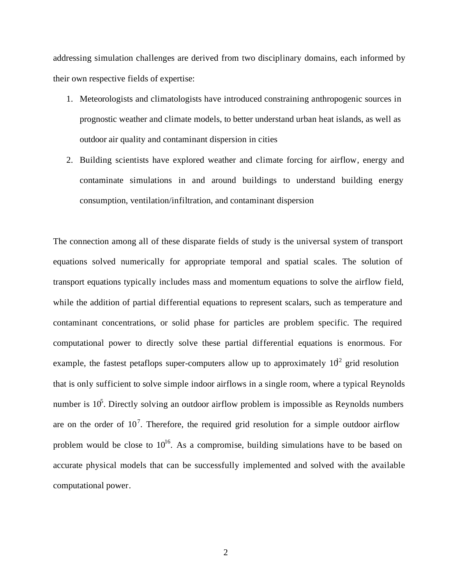addressing simulation challenges are derived from two disciplinary domains, each informed by their own respective fields of expertise:

- 1. Meteorologists and climatologists have introduced constraining anthropogenic sources in prognostic weather and climate models, to better understand urban heat islands, as well as outdoor air quality and contaminant dispersion in cities
- 2. Building scientists have explored weather and climate forcing for airflow, energy and contaminate simulations in and around buildings to understand building energy consumption, ventilation/infiltration, and contaminant dispersion

The connection among all of these disparate fields of study is the universal system of transport equations solved numerically for appropriate temporal and spatial scales. The solution of transport equations typically includes mass and momentum equations to solve the airflow field, while the addition of partial differential equations to represent scalars, such as temperature and contaminant concentrations, or solid phase for particles are problem specific. The required computational power to directly solve these partial differential equations is enormous. For example, the fastest petaflops super-computers allow up to approximately  $10^2$  grid resolution that is only sufficient to solve simple indoor airflows in a single room, where a typical Reynolds number is  $10<sup>5</sup>$ . Directly solving an outdoor airflow problem is impossible as Reynolds numbers are on the order of  $10^7$ . Therefore, the required grid resolution for a simple outdoor airflow problem would be close to  $10^{16}$ . As a compromise, building simulations have to be based on accurate physical models that can be successfully implemented and solved with the available computational power.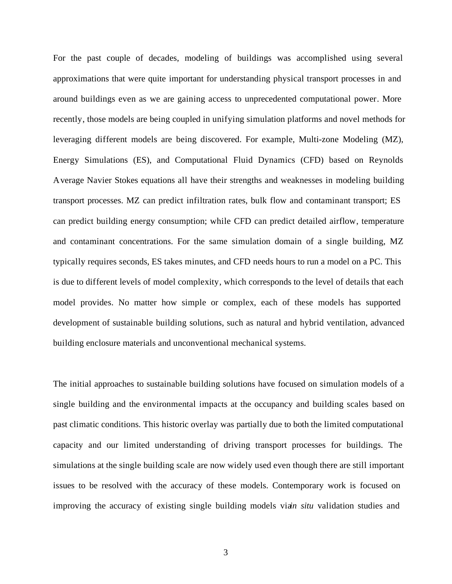For the past couple of decades, modeling of buildings was accomplished using several approximations that were quite important for understanding physical transport processes in and around buildings even as we are gaining access to unprecedented computational power. More recently, those models are being coupled in unifying simulation platforms and novel methods for leveraging different models are being discovered. For example, Multi-zone Modeling (MZ), Energy Simulations (ES), and Computational Fluid Dynamics (CFD) based on Reynolds Average Navier Stokes equations all have their strengths and weaknesses in modeling building transport processes. MZ can predict infiltration rates, bulk flow and contaminant transport; ES can predict building energy consumption; while CFD can predict detailed airflow, temperature and contaminant concentrations. For the same simulation domain of a single building, MZ typically requires seconds, ES takes minutes, and CFD needs hours to run a model on a PC. This is due to different levels of model complexity, which corresponds to the level of details that each model provides. No matter how simple or complex, each of these models has supported development of sustainable building solutions, such as natural and hybrid ventilation, advanced building enclosure materials and unconventional mechanical systems.

The initial approaches to sustainable building solutions have focused on simulation models of a single building and the environmental impacts at the occupancy and building scales based on past climatic conditions. This historic overlay was partially due to both the limited computational capacity and our limited understanding of driving transport processes for buildings. The simulations at the single building scale are now widely used even though there are still important issues to be resolved with the accuracy of these models. Contemporary work is focused on improving the accuracy of existing single building models via*n situ* validation studies and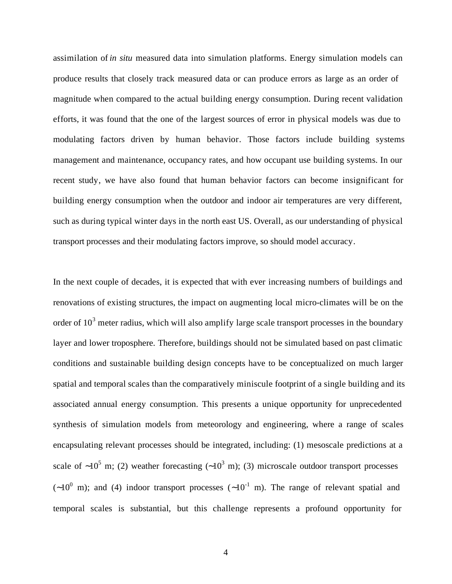assimilation of *in situ* measured data into simulation platforms. Energy simulation models can produce results that closely track measured data or can produce errors as large as an order of magnitude when compared to the actual building energy consumption. During recent validation efforts, it was found that the one of the largest sources of error in physical models was due to modulating factors driven by human behavior. Those factors include building systems management and maintenance, occupancy rates, and how occupant use building systems. In our recent study, we have also found that human behavior factors can become insignificant for building energy consumption when the outdoor and indoor air temperatures are very different, such as during typical winter days in the north east US. Overall, as our understanding of physical transport processes and their modulating factors improve, so should model accuracy.

In the next couple of decades, it is expected that with ever increasing numbers of buildings and renovations of existing structures, the impact on augmenting local micro-climates will be on the order of  $10<sup>3</sup>$  meter radius, which will also amplify large scale transport processes in the boundary layer and lower troposphere. Therefore, buildings should not be simulated based on past climatic conditions and sustainable building design concepts have to be conceptualized on much larger spatial and temporal scales than the comparatively miniscule footprint of a single building and its associated annual energy consumption. This presents a unique opportunity for unprecedented synthesis of simulation models from meteorology and engineering, where a range of scales encapsulating relevant processes should be integrated, including: (1) mesoscale predictions at a scale of ~10<sup>5</sup> m; (2) weather forecasting (~10<sup>3</sup> m); (3) microscale outdoor transport processes  $(-10^0$  m); and (4) indoor transport processes  $(-10^{-1}$  m). The range of relevant spatial and temporal scales is substantial, but this challenge represents a profound opportunity for